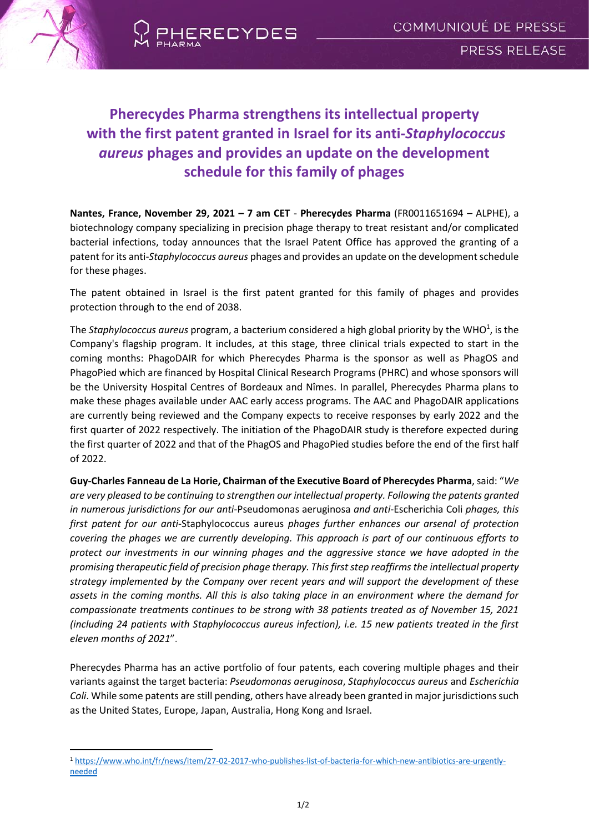

 $\overline{\phantom{a}}$ 



# **Pherecydes Pharma strengthens its intellectual property with the first patent granted in Israel for its anti-***Staphylococcus aureus* **phages and provides an update on the development schedule for this family of phages**

**Nantes, France, November 29, 2021 – 7 am CET** - **Pherecydes Pharma** (FR0011651694 – ALPHE), a biotechnology company specializing in precision phage therapy to treat resistant and/or complicated bacterial infections, today announces that the Israel Patent Office has approved the granting of a patent for its anti-*Staphylococcus aureus* phages and provides an update on the development schedule for these phages.

The patent obtained in Israel is the first patent granted for this family of phages and provides protection through to the end of 2038.

The Staphylococcus aureus program, a bacterium considered a high global priority by the WHO<sup>1</sup>, is the Company's flagship program. It includes, at this stage, three clinical trials expected to start in the coming months: PhagoDAIR for which Pherecydes Pharma is the sponsor as well as PhagOS and PhagoPied which are financed by Hospital Clinical Research Programs (PHRC) and whose sponsors will be the University Hospital Centres of Bordeaux and Nîmes. In parallel, Pherecydes Pharma plans to make these phages available under AAC early access programs. The AAC and PhagoDAIR applications are currently being reviewed and the Company expects to receive responses by early 2022 and the first quarter of 2022 respectively. The initiation of the PhagoDAIR study is therefore expected during the first quarter of 2022 and that of the PhagOS and PhagoPied studies before the end of the first half of 2022.

**Guy-Charles Fanneau de La Horie, Chairman of the Executive Board of Pherecydes Pharma**, said: "*We are very pleased to be continuing to strengthen our intellectual property. Following the patents granted in numerous jurisdictions for our anti-*Pseudomonas aeruginosa *and anti-*Escherichia Coli *phages, this first patent for our anti-*Staphylococcus aureus *phages further enhances our arsenal of protection covering the phages we are currently developing. This approach is part of our continuous efforts to protect our investments in our winning phages and the aggressive stance we have adopted in the promising therapeutic field of precision phage therapy. This first step reaffirms the intellectual property strategy implemented by the Company over recent years and will support the development of these assets in the coming months. All this is also taking place in an environment where the demand for compassionate treatments continues to be strong with 38 patients treated as of November 15, 2021 (including 24 patients with Staphylococcus aureus infection), i.e. 15 new patients treated in the first eleven months of 2021*".

Pherecydes Pharma has an active portfolio of four patents, each covering multiple phages and their variants against the target bacteria: *Pseudomonas aeruginosa*, *Staphylococcus aureus* and *Escherichia Coli*. While some patents are still pending, others have already been granted in major jurisdictions such as the United States, Europe, Japan, Australia, Hong Kong and Israel.

<sup>1</sup> [https://www.who.int/fr/news/item/27-02-2017-who-publishes-list-of-bacteria-for-which-new-antibiotics-are-urgently](https://www.who.int/fr/news/item/27-02-2017-who-publishes-list-of-bacteria-for-which-new-antibiotics-are-urgently-needed)[needed](https://www.who.int/fr/news/item/27-02-2017-who-publishes-list-of-bacteria-for-which-new-antibiotics-are-urgently-needed)